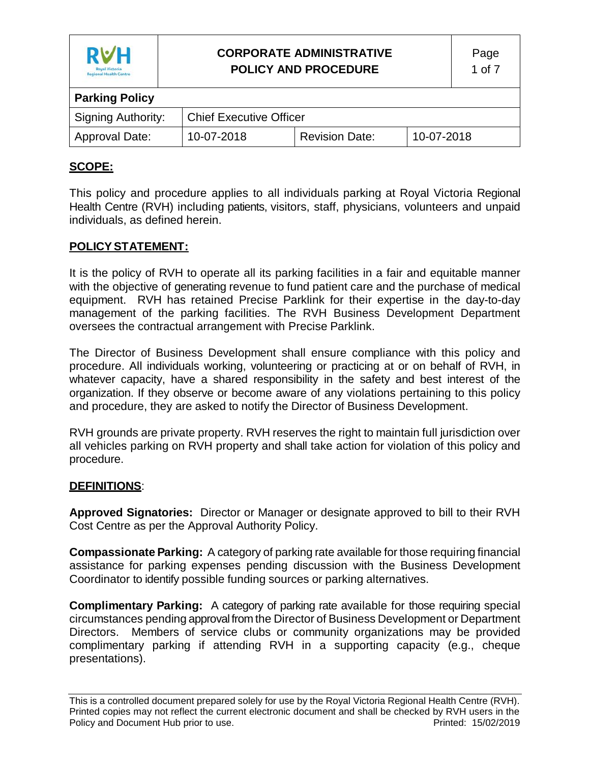

# **CORPORATE ADMINISTRATIVE POLICY AND PROCEDURE**

| <b>Parking Policy</b>     |                                |                       |            |
|---------------------------|--------------------------------|-----------------------|------------|
| <b>Signing Authority:</b> | <b>Chief Executive Officer</b> |                       |            |
| Approval Date:            | 10-07-2018                     | <b>Revision Date:</b> | 10-07-2018 |

## **SCOPE:**

This policy and procedure applies to all individuals parking at Royal Victoria Regional Health Centre (RVH) including patients, visitors, staff, physicians, volunteers and unpaid individuals, as defined herein.

#### **POLICYSTATEMENT:**

It is the policy of RVH to operate all its parking facilities in a fair and equitable manner with the objective of generating revenue to fund patient care and the purchase of medical equipment. RVH has retained Precise Parklink for their expertise in the day-to-day management of the parking facilities. The RVH Business Development Department oversees the contractual arrangement with Precise Parklink.

The Director of Business Development shall ensure compliance with this policy and procedure. All individuals working, volunteering or practicing at or on behalf of RVH, in whatever capacity, have a shared responsibility in the safety and best interest of the organization. If they observe or become aware of any violations pertaining to this policy and procedure, they are asked to notify the Director of Business Development.

RVH grounds are private property. RVH reserves the right to maintain full jurisdiction over all vehicles parking on RVH property and shall take action for violation of this policy and procedure.

#### **DEFINITIONS**:

**Approved Signatories:** Director or Manager or designate approved to bill to their RVH Cost Centre as per the Approval Authority Policy.

**Compassionate Parking:** A category of parking rate available for those requiring financial assistance for parking expenses pending discussion with the Business Development Coordinator to identify possible funding sources or parking alternatives.

**Complimentary Parking:** A category of parking rate available for those requiring special circumstances pending approval from the Director of Business Development or Department Directors. Members of service clubs or community organizations may be provided complimentary parking if attending RVH in a supporting capacity (e.g., cheque presentations).

This is a controlled document prepared solely for use by the Royal Victoria Regional Health Centre (RVH). Printed copies may not reflect the current electronic document and shall be checked by RVH users in the Policy and Document Hub prior to use. The example of the example of the Printed: 15/02/2019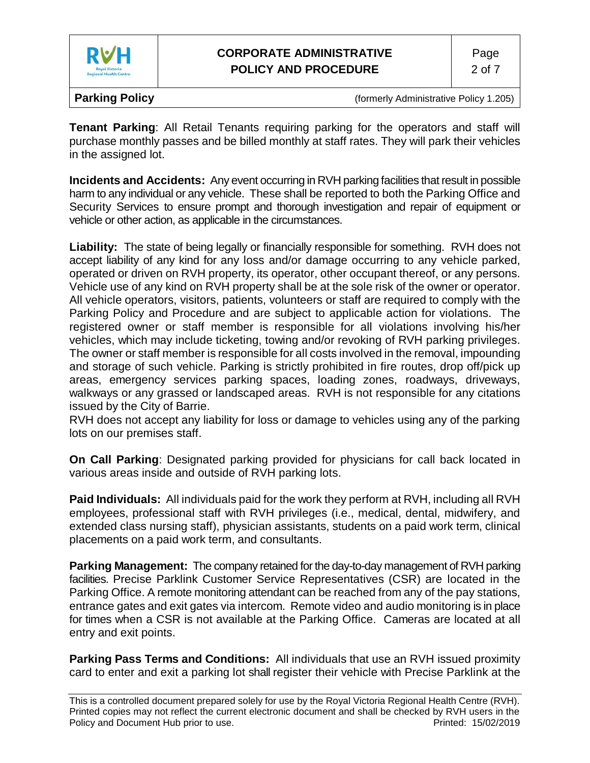

**Tenant Parking**: All Retail Tenants requiring parking for the operators and staff will purchase monthly passes and be billed monthly at staff rates. They will park their vehicles in the assigned lot.

**Incidents and Accidents:** Any event occurring in RVH parking facilities that result in possible harm to any individual or any vehicle. These shall be reported to both the Parking Office and Security Services to ensure prompt and thorough investigation and repair of equipment or vehicle or other action, as applicable in the circumstances.

**Liability:** The state of being legally or financially responsible for something. RVH does not accept liability of any kind for any loss and/or damage occurring to any vehicle parked, operated or driven on RVH property, its operator, other occupant thereof, or any persons. Vehicle use of any kind on RVH property shall be at the sole risk of the owner or operator. All vehicle operators, visitors, patients, volunteers or staff are required to comply with the Parking Policy and Procedure and are subject to applicable action for violations. The registered owner or staff member is responsible for all violations involving his/her vehicles, which may include ticketing, towing and/or revoking of RVH parking privileges. The owner or staff member is responsible for all costs involved in the removal, impounding and storage of such vehicle. Parking is strictly prohibited in fire routes, drop off/pick up areas, emergency services parking spaces, loading zones, roadways, driveways, walkways or any grassed or landscaped areas. RVH is not responsible for any citations issued by the City of Barrie.

RVH does not accept any liability for loss or damage to vehicles using any of the parking lots on our premises staff.

**On Call Parking**: Designated parking provided for physicians for call back located in various areas inside and outside of RVH parking lots.

**Paid Individuals:** All individuals paid for the work they perform at RVH, including all RVH employees, professional staff with RVH privileges (i.e., medical, dental, midwifery, and extended class nursing staff), physician assistants, students on a paid work term, clinical placements on a paid work term, and consultants.

**Parking Management:** The company retained for the day-to-day management of RVH parking facilities. Precise Parklink Customer Service Representatives (CSR) are located in the Parking Office. A remote monitoring attendant can be reached from any of the pay stations, entrance gates and exit gates via intercom. Remote video and audio monitoring is in place for times when a CSR is not available at the Parking Office. Cameras are located at all entry and exit points.

**Parking Pass Terms and Conditions:** All individuals that use an RVH issued proximity card to enter and exit a parking lot shall register their vehicle with Precise Parklink at the

This is a controlled document prepared solely for use by the Royal Victoria Regional Health Centre (RVH). Printed copies may not reflect the current electronic document and shall be checked by RVH users in the Policy and Document Hub prior to use. The example of the example of the Printed: 15/02/2019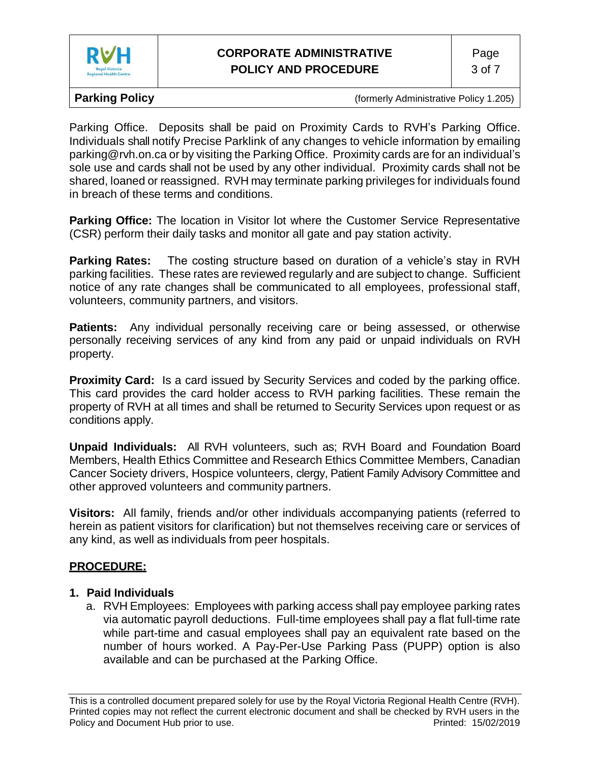

Parking Office. Deposits shall be paid on Proximity Cards to RVH's Parking Office. Individuals shall notify Precise Parklink of any changes to vehicle information by emailing [parking@rvh.on.ca](mailto:parking@rvh.on.ca) or by visiting the Parking Office. Proximity cards are for an individual's sole use and cards shall not be used by any other individual. Proximity cards shall not be shared, loaned or reassigned. RVH may terminate parking privileges for individuals found in breach of these terms and conditions.

**Parking Office:** The location in Visitor lot where the Customer Service Representative (CSR) perform their daily tasks and monitor all gate and pay station activity.

**Parking Rates:** The costing structure based on duration of a vehicle's stay in RVH parking facilities. These rates are reviewed regularly and are subject to change. Sufficient notice of any rate changes shall be communicated to all employees, professional staff, volunteers, community partners, and visitors.

**Patients:** Any individual personally receiving care or being assessed, or otherwise personally receiving services of any kind from any paid or unpaid individuals on RVH property.

**Proximity Card:** Is a card issued by Security Services and coded by the parking office. This card provides the card holder access to RVH parking facilities. These remain the property of RVH at all times and shall be returned to Security Services upon request or as conditions apply.

**Unpaid Individuals:** All RVH volunteers, such as; RVH Board and Foundation Board Members, Health Ethics Committee and Research Ethics Committee Members, Canadian Cancer Society drivers, Hospice volunteers, clergy, Patient Family Advisory Committee and other approved volunteers and community partners.

**Visitors:** All family, friends and/or other individuals accompanying patients (referred to herein as patient visitors for clarification) but not themselves receiving care or services of any kind, as well as individuals from peer hospitals.

# **PROCEDURE:**

# **1. Paid Individuals**

a. RVH Employees: Employees with parking access shall pay employee parking rates via automatic payroll deductions. Full-time employees shall pay a flat full-time rate while part-time and casual employees shall pay an equivalent rate based on the number of hours worked. A Pay-Per-Use Parking Pass (PUPP) option is also available and can be purchased at the Parking Office.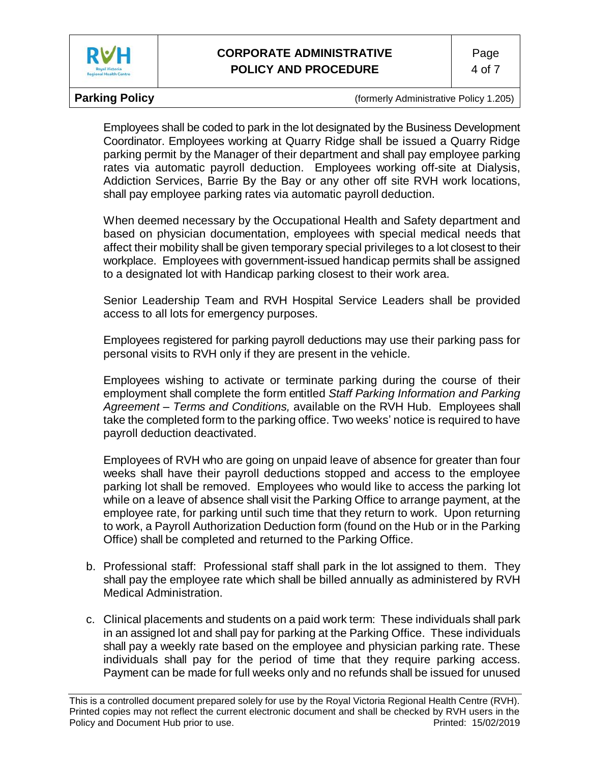

Employees shall be coded to park in the lot designated by the Business Development Coordinator. Employees working at Quarry Ridge shall be issued a Quarry Ridge parking permit by the Manager of their department and shall pay employee parking rates via automatic payroll deduction. Employees working off-site at Dialysis, Addiction Services, Barrie By the Bay or any other off site RVH work locations, shall pay employee parking rates via automatic payroll deduction.

When deemed necessary by the Occupational Health and Safety department and based on physician documentation, employees with special medical needs that affect their mobility shall be given temporary special privileges to a lot closest to their workplace. Employees with government-issued handicap permits shall be assigned to a designated lot with Handicap parking closest to their work area.

Senior Leadership Team and RVH Hospital Service Leaders shall be provided access to all lots for emergency purposes.

Employees registered for parking payroll deductions may use their parking pass for personal visits to RVH only if they are present in the vehicle.

Employees wishing to activate or terminate parking during the course of their employment shall complete the form entitled *Staff Parking Information and Parking Agreement – Terms and Conditions,* available on the RVH Hub. Employees shall take the completed form to the parking office. Two weeks' notice is required to have payroll deduction deactivated.

Employees of RVH who are going on unpaid leave of absence for greater than four weeks shall have their payroll deductions stopped and access to the employee parking lot shall be removed. Employees who would like to access the parking lot while on a leave of absence shall visit the Parking Office to arrange payment, at the employee rate, for parking until such time that they return to work. Upon returning to work, a Payroll Authorization Deduction form (found on the Hub or in the Parking Office) shall be completed and returned to the Parking Office.

- b. Professional staff: Professional staff shall park in the lot assigned to them. They shall pay the employee rate which shall be billed annually as administered by RVH Medical Administration.
- c. Clinical placements and students on a paid work term: These individuals shall park in an assigned lot and shall pay for parking at the Parking Office. These individuals shall pay a weekly rate based on the employee and physician parking rate. These individuals shall pay for the period of time that they require parking access. Payment can be made for full weeks only and no refunds shall be issued for unused

This is a controlled document prepared solely for use by the Royal Victoria Regional Health Centre (RVH). Printed copies may not reflect the current electronic document and shall be checked by RVH users in the Policy and Document Hub prior to use. The example of the example of the Printed: 15/02/2019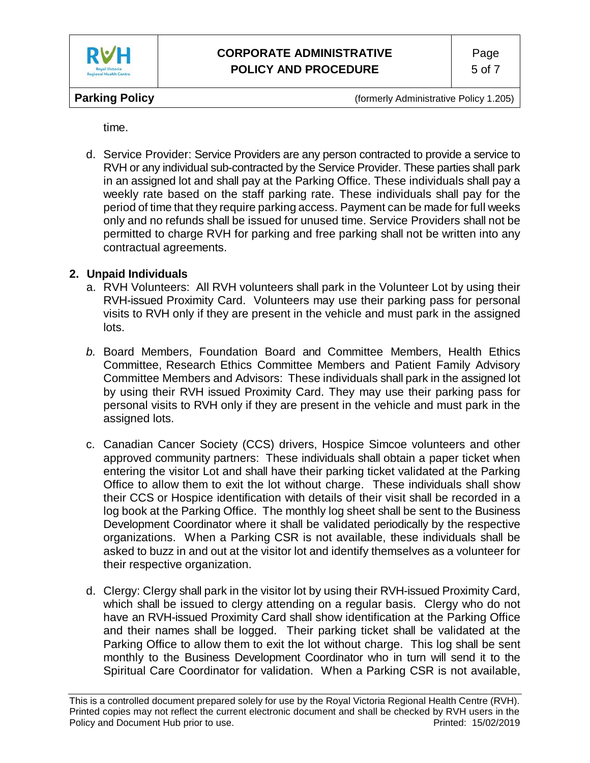

time.

d. Service Provider: Service Providers are any person contracted to provide a service to RVH or any individual sub-contracted by the Service Provider. These parties shall park in an assigned lot and shall pay at the Parking Office. These individuals shall pay a weekly rate based on the staff parking rate. These individuals shall pay for the period of time that they require parking access. Payment can be made for full weeks only and no refunds shall be issued for unused time. Service Providers shall not be permitted to charge RVH for parking and free parking shall not be written into any contractual agreements.

## **2. Unpaid Individuals**

- a. RVH Volunteers: All RVH volunteers shall park in the Volunteer Lot by using their RVH-issued Proximity Card. Volunteers may use their parking pass for personal visits to RVH only if they are present in the vehicle and must park in the assigned lots.
- *b.* Board Members, Foundation Board and Committee Members, Health Ethics Committee, Research Ethics Committee Members and Patient Family Advisory Committee Members and Advisors: These individuals shall park in the assigned lot by using their RVH issued Proximity Card. They may use their parking pass for personal visits to RVH only if they are present in the vehicle and must park in the assigned lots.
- c. Canadian Cancer Society (CCS) drivers, Hospice Simcoe volunteers and other approved community partners: These individuals shall obtain a paper ticket when entering the visitor Lot and shall have their parking ticket validated at the Parking Office to allow them to exit the lot without charge. These individuals shall show their CCS or Hospice identification with details of their visit shall be recorded in a log book at the Parking Office. The monthly log sheet shall be sent to the Business Development Coordinator where it shall be validated periodically by the respective organizations. When a Parking CSR is not available, these individuals shall be asked to buzz in and out at the visitor lot and identify themselves as a volunteer for their respective organization.
- d. Clergy: Clergy shall park in the visitor lot by using their RVH-issued Proximity Card, which shall be issued to clergy attending on a regular basis. Clergy who do not have an RVH-issued Proximity Card shall show identification at the Parking Office and their names shall be logged. Their parking ticket shall be validated at the Parking Office to allow them to exit the lot without charge. This log shall be sent monthly to the Business Development Coordinator who in turn will send it to the Spiritual Care Coordinator for validation. When a Parking CSR is not available,

This is a controlled document prepared solely for use by the Royal Victoria Regional Health Centre (RVH). Printed copies may not reflect the current electronic document and shall be checked by RVH users in the Policy and Document Hub prior to use. The example of the example of the Printed: 15/02/2019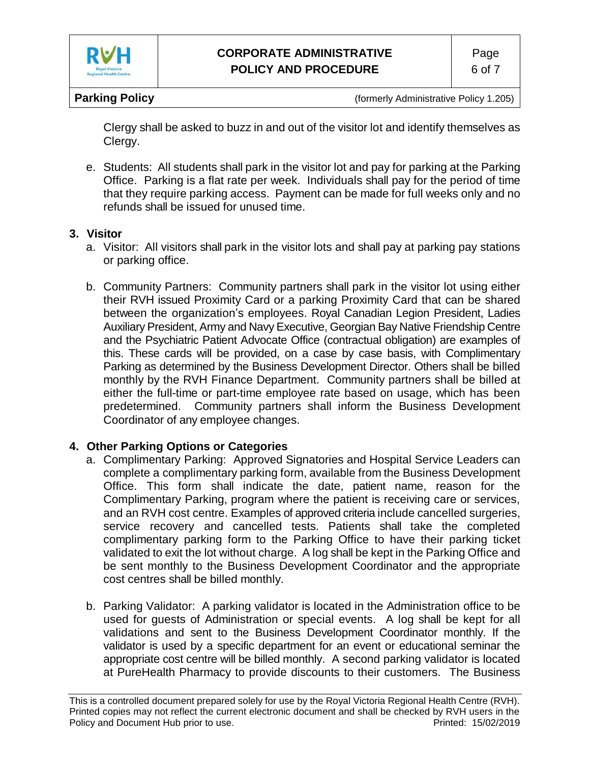

Clergy shall be asked to buzz in and out of the visitor lot and identify themselves as Clergy.

e. Students: All students shall park in the visitor lot and pay for parking at the Parking Office. Parking is a flat rate per week. Individuals shall pay for the period of time that they require parking access. Payment can be made for full weeks only and no refunds shall be issued for unused time.

#### **3. Visitor**

- a. Visitor: All visitors shall park in the visitor lots and shall pay at parking pay stations or parking office.
- b. Community Partners: Community partners shall park in the visitor lot using either their RVH issued Proximity Card or a parking Proximity Card that can be shared between the organization's employees. Royal Canadian Legion President, Ladies Auxiliary President, Army and Navy Executive, Georgian Bay Native Friendship Centre and the Psychiatric Patient Advocate Office (contractual obligation) are examples of this. These cards will be provided, on a case by case basis, with Complimentary Parking as determined by the Business Development Director. Others shall be billed monthly by the RVH Finance Department. Community partners shall be billed at either the full-time or part-time employee rate based on usage, which has been predetermined. Community partners shall inform the Business Development Coordinator of any employee changes.

#### **4. Other Parking Options or Categories**

- a. Complimentary Parking: Approved Signatories and Hospital Service Leaders can complete a complimentary parking form, available from the Business Development Office. This form shall indicate the date, patient name, reason for the Complimentary Parking, program where the patient is receiving care or services, and an RVH cost centre. Examples of approved criteria include cancelled surgeries, service recovery and cancelled tests. Patients shall take the completed complimentary parking form to the Parking Office to have their parking ticket validated to exit the lot without charge. A log shall be kept in the Parking Office and be sent monthly to the Business Development Coordinator and the appropriate cost centres shall be billed monthly.
- b. Parking Validator: A parking validator is located in the Administration office to be used for guests of Administration or special events. A log shall be kept for all validations and sent to the Business Development Coordinator monthly. If the validator is used by a specific department for an event or educational seminar the appropriate cost centre will be billed monthly. A second parking validator is located at PureHealth Pharmacy to provide discounts to their customers. The Business

This is a controlled document prepared solely for use by the Royal Victoria Regional Health Centre (RVH). Printed copies may not reflect the current electronic document and shall be checked by RVH users in the Policy and Document Hub prior to use. The example of the example of the Printed: 15/02/2019